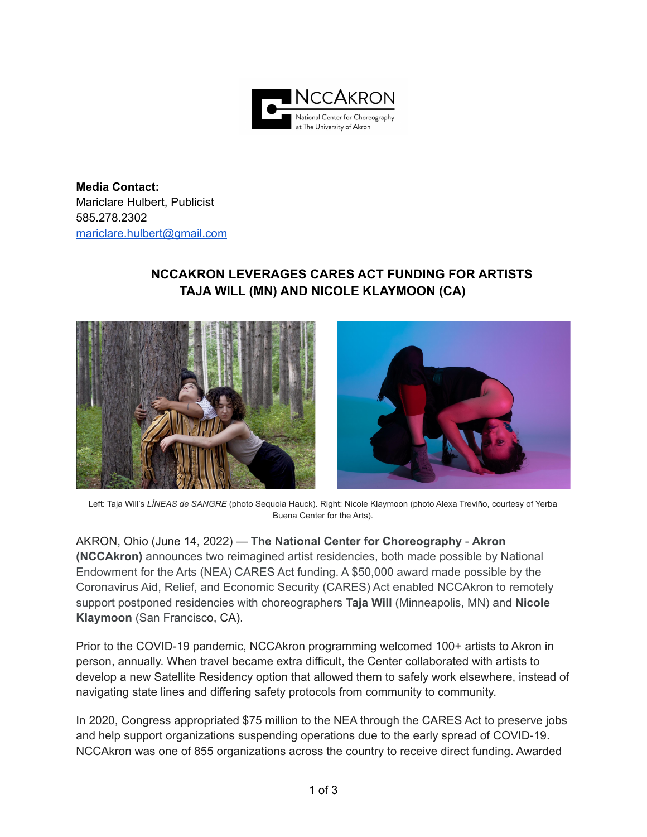

**Media Contact:** Mariclare Hulbert, Publicist 585.278.2302 [mariclare.hulbert@gmail.com](mailto:mariclare.hulbert@gmail.com)

## **NCCAKRON LEVERAGES CARES ACT FUNDING FOR ARTISTS TAJA WILL (MN) AND NICOLE KLAYMOON (CA)**





Left: Taja Will's *LÍNEAS de SANGRE* (photo Sequoia Hauck). Right: Nicole Klaymoon (photo Alexa Treviño, courtesy of Yerba Buena Center for the Arts).

AKRON, Ohio (June 14, 2022) — **The National Center for Choreography** - **Akron (NCCAkron)** announces two reimagined artist residencies, both made possible by National Endowment for the Arts (NEA) CARES Act funding. A \$50,000 award made possible by the Coronavirus Aid, Relief, and Economic Security (CARES) Act enabled NCCAkron to remotely support postponed residencies with choreographers **Taja Will** (Minneapolis, MN) and **Nicole Klaymoon** (San Francisco, CA).

Prior to the COVID-19 pandemic, NCCAkron programming welcomed 100+ artists to Akron in person, annually. When travel became extra difficult, the Center collaborated with artists to develop a new Satellite Residency option that allowed them to safely work elsewhere, instead of navigating state lines and differing safety protocols from community to community.

In 2020, Congress appropriated \$75 million to the NEA through the CARES Act to preserve jobs and help support organizations suspending operations due to the early spread of COVID-19. NCCAkron was one of 855 organizations across the country to receive direct funding. Awarded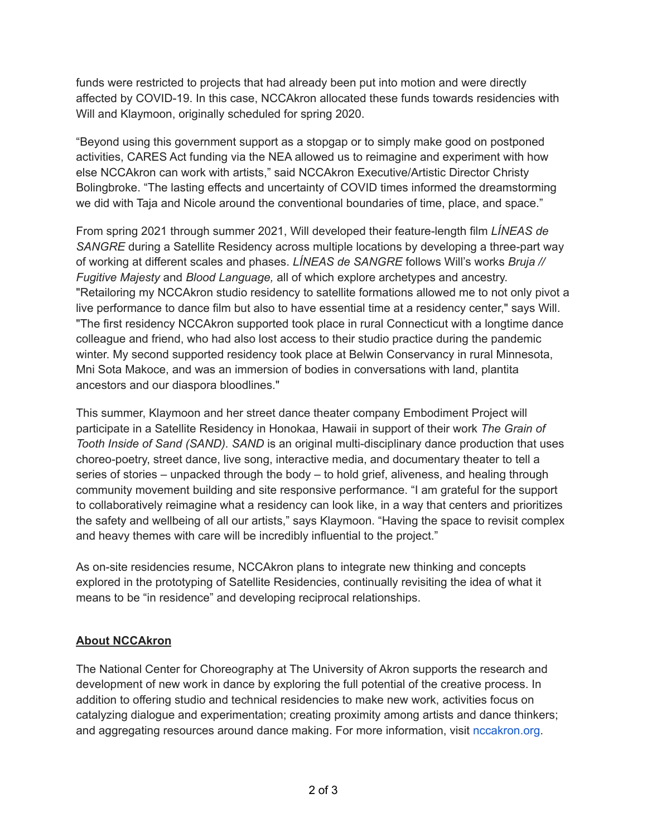funds were restricted to projects that had already been put into motion and were directly affected by COVID-19. In this case, NCCAkron allocated these funds towards residencies with Will and Klaymoon, originally scheduled for spring 2020.

"Beyond using this government support as a stopgap or to simply make good on postponed activities, CARES Act funding via the NEA allowed us to reimagine and experiment with how else NCCAkron can work with artists," said NCCAkron Executive/Artistic Director Christy Bolingbroke. "The lasting effects and uncertainty of COVID times informed the dreamstorming we did with Taja and Nicole around the conventional boundaries of time, place, and space."

From spring 2021 through summer 2021, Will developed their feature-length film *LÍNEAS de SANGRE* during a Satellite Residency across multiple locations by developing a three-part way of working at different scales and phases. *LÍNEAS de SANGRE* follows Will's works *Bruja // Fugitive Majesty* and *Blood Language,* all of which explore archetypes and ancestry. "Retailoring my NCCAkron studio residency to satellite formations allowed me to not only pivot a live performance to dance film but also to have essential time at a residency center," says Will. "The first residency NCCAkron supported took place in rural Connecticut with a longtime dance colleague and friend, who had also lost access to their studio practice during the pandemic winter. My second supported residency took place at Belwin Conservancy in rural Minnesota, Mni Sota Makoce, and was an immersion of bodies in conversations with land, plantita ancestors and our diaspora bloodlines."

This summer, Klaymoon and her street dance theater company Embodiment Project will participate in a Satellite Residency in Honokaa, Hawaii in support of their work *The Grain of Tooth Inside of Sand (SAND). SAND* is an original multi-disciplinary dance production that uses choreo-poetry, street dance, live song, interactive media, and documentary theater to tell a series of stories – unpacked through the body – to hold grief, aliveness, and healing through community movement building and site responsive performance. "I am grateful for the support to collaboratively reimagine what a residency can look like, in a way that centers and prioritizes the safety and wellbeing of all our artists," says Klaymoon. "Having the space to revisit complex and heavy themes with care will be incredibly influential to the project."

As on-site residencies resume, NCCAkron plans to integrate new thinking and concepts explored in the prototyping of Satellite Residencies, continually revisiting the idea of what it means to be "in residence" and developing reciprocal relationships.

## **About NCCAkron**

The National Center for Choreography at The University of Akron supports the research and development of new work in dance by exploring the full potential of the creative process. In addition to offering studio and technical residencies to make new work, activities focus on catalyzing dialogue and experimentation; creating proximity among artists and dance thinkers; and aggregating resources around dance making. For more information, visit nccakron.org.